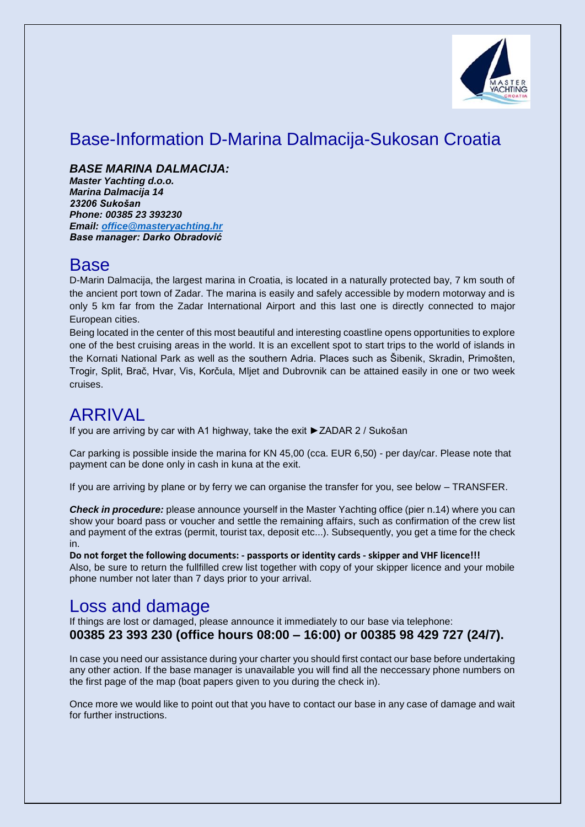

## Base-Information D-Marina Dalmacija-Sukosan Croatia

*BASE MARINA DALMACIJA:* 

*Master Yachting d.o.o. Marina Dalmacija 14 23206 Sukošan Phone: 00385 23 393230 Email: [office@masteryachting.hr](mailto:office@masteryachting.hr) Base manager: Darko Obradović* 

## Base

D-Marin Dalmacija, the largest marina in Croatia, is located in a naturally protected bay, 7 km south of the ancient port town of Zadar. The marina is easily and safely accessible by modern motorway and is only 5 km far from the Zadar International Airport and this last one is directly connected to major European cities.

Being located in the center of this most beautiful and interesting coastline opens opportunities to explore one of the best cruising areas in the world. It is an excellent spot to start trips to the world of islands in the Kornati National Park as well as the southern Adria. Places such as Šibenik, Skradin, Primošten, Trogir, Split, Brač, Hvar, Vis, Korčula, Mljet and Dubrovnik can be attained easily in one or two week cruises.

## ARRIVAL

If you are arriving by car with A1 highway, take the exit ►ZADAR 2 / Sukošan

Car parking is possible inside the marina for KN 45,00 (cca. EUR 6,50) - per day/car. Please note that payment can be done only in cash in kuna at the exit.

If you are arriving by plane or by ferry we can organise the transfer for you, see below – TRANSFER.

*Check in procedure:* please announce yourself in the Master Yachting office (pier n.14) where you can show your board pass or voucher and settle the remaining affairs, such as confirmation of the crew list and payment of the extras (permit, tourist tax, deposit etc...). Subsequently, you get a time for the check in.

**Do not forget the following documents: - passports or identity cards - skipper and VHF licence!!!** Also, be sure to return the fullfilled crew list together with copy of your skipper licence and your mobile phone number not later than 7 days prior to your arrival.

## Loss and damage

If things are lost or damaged, please announce it immediately to our base via telephone: **00385 23 393 230 (office hours 08:00 – 16:00) or 00385 98 429 727 (24/7).**

In case you need our assistance during your charter you should first contact our base before undertaking any other action. If the base manager is unavailable you will find all the neccessary phone numbers on the first page of the map (boat papers given to you during the check in).

Once more we would like to point out that you have to contact our base in any case of damage and wait for further instructions.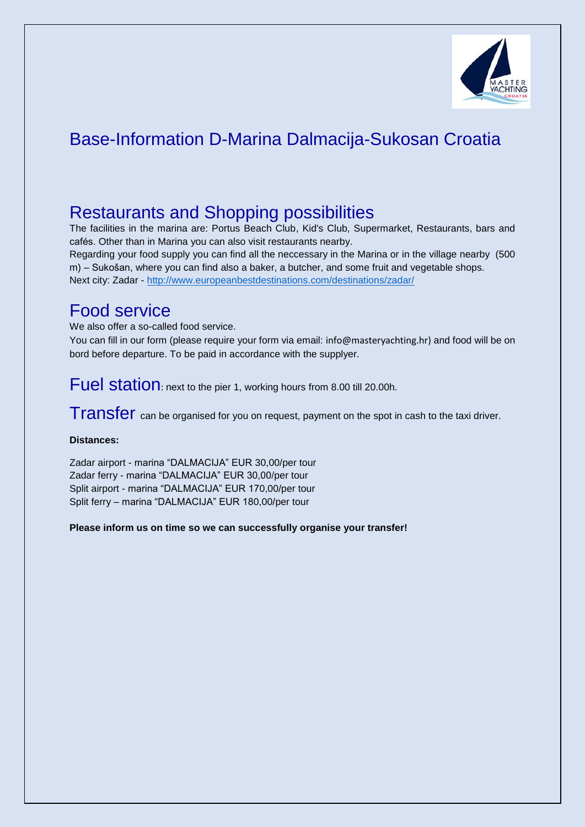

## Base-Information D-Marina Dalmacija-Sukosan Croatia

## Restaurants and Shopping possibilities

The facilities in the marina are: Portus Beach Club, Kid's Club, Supermarket, Restaurants, bars and cafés. Other than in Marina you can also visit restaurants nearby. Regarding your food supply you can find all the neccessary in the Marina or in the village nearby (500 m) – Sukošan, where you can find also a baker, a butcher, and some fruit and vegetable shops. Next city: Zadar - <http://www.europeanbestdestinations.com/destinations/zadar/>

### Food service

We also offer a so-called food service.

You can fill in our form (please require your form via email: [info@masteryachting.hr\)](mailto:info@masteryachting.hr) and food will be on bord before departure. To be paid in accordance with the supplyer.

Fuel station: next to the pier 1, working hours from 8.00 till 20.00h.

Transfer can be organised for you on request, payment on the spot in cash to the taxi driver.

#### **Distances:**

Zadar airport - marina "DALMACIJA" EUR 30,00/per tour Zadar ferry - marina "DALMACIJA" EUR 30,00/per tour Split airport - marina "DALMACIJA" EUR 170,00/per tour Split ferry – marina "DALMACIJA" EUR 180,00/per tour

**Please inform us on time so we can successfully organise your transfer!**